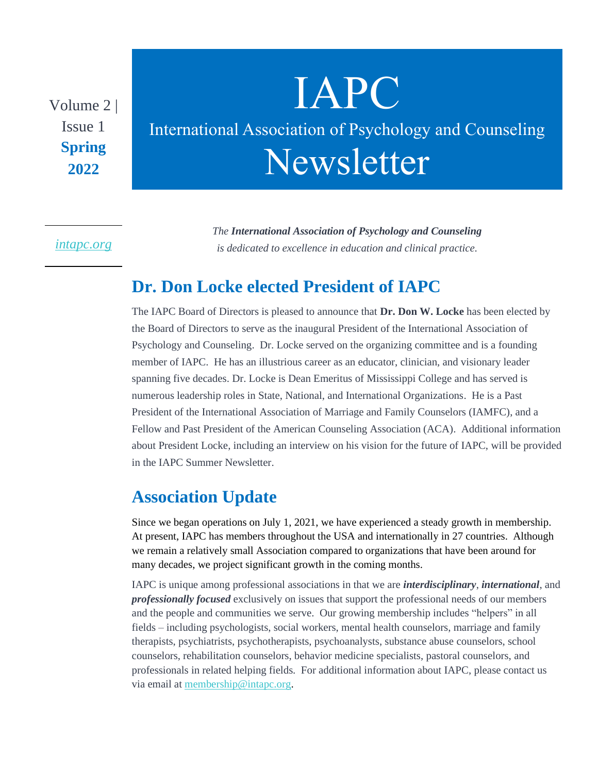Volume 2 | Issue 1 **Spring 2022**

# IAPC International Association of Psychology and Counseling Newsletter

#### *[intapc.org](http://intapc.org/)*

*The International Association of Psychology and Counseling is dedicated to excellence in education and clinical practice.*

### **Dr. Don Locke elected President of IAPC**

The IAPC Board of Directors is pleased to announce that **Dr. Don W. Locke** has been elected by the Board of Directors to serve as the inaugural President of the International Association of Psychology and Counseling. Dr. Locke served on the organizing committee and is a founding member of IAPC. He has an illustrious career as an educator, clinician, and visionary leader spanning five decades. Dr. Locke is Dean Emeritus of Mississippi College and has served is numerous leadership roles in State, National, and International Organizations. He is a Past President of the International Association of Marriage and Family Counselors (IAMFC), and a Fellow and Past President of the American Counseling Association (ACA). Additional information about President Locke, including an interview on his vision for the future of IAPC, will be provided in the IAPC Summer Newsletter.

### **Association Update**

Since we began operations on July 1, 2021, we have experienced a steady growth in membership. At present, IAPC has members throughout the USA and internationally in 27 countries. Although we remain a relatively small Association compared to organizations that have been around for many decades, we project significant growth in the coming months.

IAPC is unique among professional associations in that we are *interdisciplinary*, *international*, and *professionally focused* exclusively on issues that support the professional needs of our members and the people and communities we serve. Our growing membership includes "helpers" in all fields – including psychologists, social workers, mental health counselors, marriage and family therapists, psychiatrists, psychotherapists, psychoanalysts, substance abuse counselors, school counselors, rehabilitation counselors, behavior medicine specialists, pastoral counselors, and professionals in related helping fields. For additional information about IAPC, please contact us via email at [membership@intapc.org.](mailto:membership@intapc.org)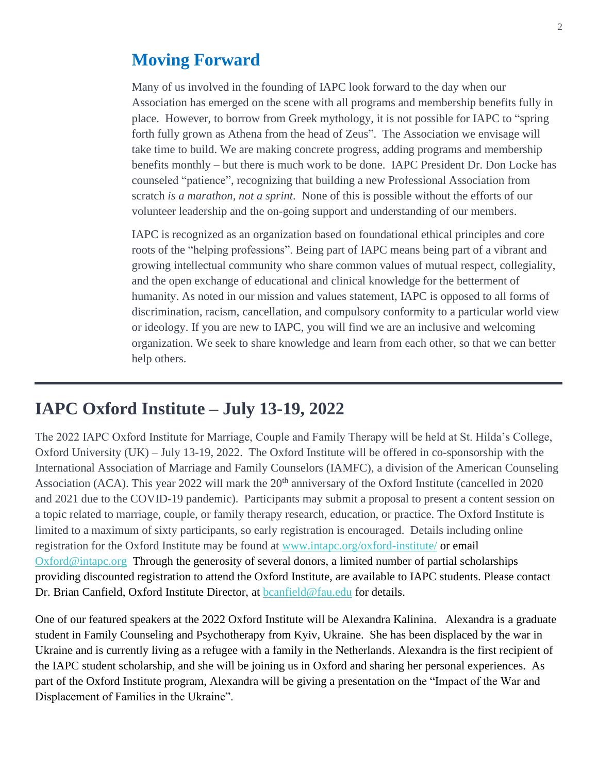### **Moving Forward**

Many of us involved in the founding of IAPC look forward to the day when our Association has emerged on the scene with all programs and membership benefits fully in place. However, to borrow from Greek mythology, it is not possible for IAPC to "spring forth fully grown as Athena from the head of Zeus". The Association we envisage will take time to build. We are making concrete progress, adding programs and membership benefits monthly – but there is much work to be done. IAPC President Dr. Don Locke has counseled "patience", recognizing that building a new Professional Association from scratch *is a marathon, not a sprint.* None of this is possible without the efforts of our volunteer leadership and the on-going support and understanding of our members.

IAPC is recognized as an organization based on foundational ethical principles and core roots of the "helping professions". Being part of IAPC means being part of a vibrant and growing intellectual community who share common values of mutual respect, collegiality, and the open exchange of educational and clinical knowledge for the betterment of humanity. As noted in our mission and values statement, IAPC is opposed to all forms of discrimination, racism, cancellation, and compulsory conformity to a particular world view or ideology. If you are new to IAPC, you will find we are an inclusive and welcoming organization. We seek to share knowledge and learn from each other, so that we can better help others.

### Mmber Servi **IAPC Oxford Institute – July 13-19, 2022**

The 2022 IAPC Oxford Institute for Marriage, Couple and Family Therapy will be held at St. Hilda's College, Oxford University (UK) – July 13-19, 2022. The Oxford Institute will be offered in co-sponsorship with the International Association of Marriage and Family Counselors (IAMFC), a division of the American Counseling Association (ACA). This year 2022 will mark the 20<sup>th</sup> anniversary of the Oxford Institute (cancelled in 2020) and 2021 due to the COVID-19 pandemic). Participants may submit a proposal to present a content session on a topic related to marriage, couple, or family therapy research, education, or practice. The Oxford Institute is limited to a maximum of sixty participants, so early registration is encouraged. Details including online registration for the Oxford Institute may be found at [www.intapc.org/oxford-institute/](http://www.intapc.org/oxford-institute/) or email [Oxford@intapc.org](mailto:Oxford@intapc.org) Through the generosity of several donors, a limited number of partial scholarships providing discounted registration to attend the Oxford Institute, are available to IAPC students. Please contact Dr. Brian Canfield, Oxford Institute Director, at [bcanfield@fau.edu](mailto:bcanfield@fau.edu) for details.

One of our featured speakers at the 2022 Oxford Institute will be Alexandra Kalinina. Alexandra is a graduate student in Family Counseling and Psychotherapy from Kyiv, Ukraine. She has been displaced by the war in Ukraine and is currently living as a refugee with a family in the Netherlands. Alexandra is the first recipient of the IAPC student scholarship, and she will be joining us in Oxford and sharing her personal experiences. As part of the Oxford Institute program, Alexandra will be giving a presentation on the "Impact of the War and Displacement of Families in the Ukraine".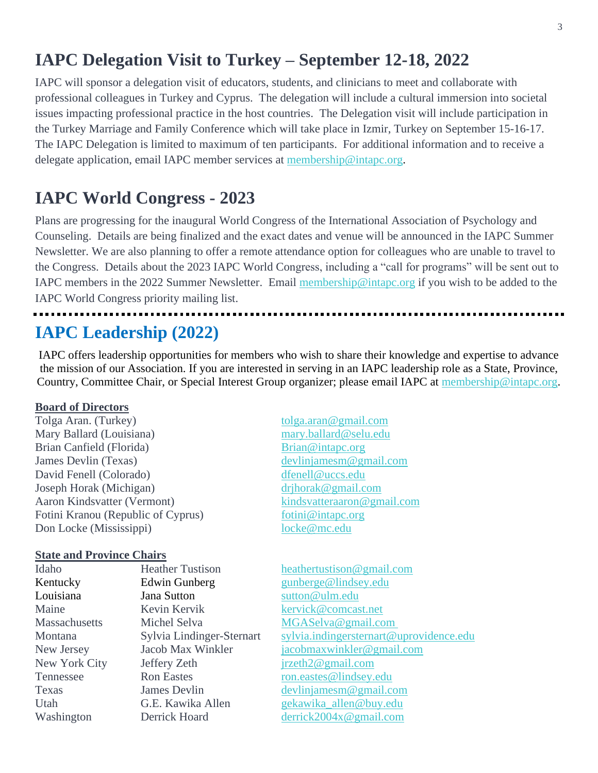# **IAPC Delegation Visit to Turkey – September 12-18, 2022**

IAPC will sponsor a delegation visit of educators, students, and clinicians to meet and collaborate with professional colleagues in Turkey and Cyprus. The delegation will include a cultural immersion into societal issues impacting professional practice in the host countries. The Delegation visit will include participation in the Turkey Marriage and Family Conference which will take place in Izmir, Turkey on September 15-16-17. The IAPC Delegation is limited to maximum of ten participants. For additional information and to receive a delegate application, email IAPC member services at [membership@intapc.org.](mailto:membership@intapc.org)

# **IAPC World Congress - 2023**

Plans are progressing for the inaugural World Congress of the International Association of Psychology and Counseling. Details are being finalized and the exact dates and venue will be announced in the IAPC Summer Newsletter. We are also planning to offer a remote attendance option for colleagues who are unable to travel to the Congress. Details about the 2023 IAPC World Congress, including a "call for programs" will be sent out to IAPC members in the 2022 Summer Newsletter. Email [membership@intapc.org](mailto:membership@intapc.org) if you wish to be added to the IAPC World Congress priority mailing list.

# **IAPC Leadership (2022)**

IAPC offers leadership opportunities for members who wish to share their knowledge and expertise to advance the mission of our Association. If you are interested in serving in an IAPC leadership role as a State, Province, Country, Committee Chair, or Special Interest Group organizer; please email IAPC at [membership@intapc.org.](mailto:membership@intapc.org)

#### **Board of Directors**

| Tolga Aran. (Turkey)               | tolga.aran@gmail.com       |
|------------------------------------|----------------------------|
| Mary Ballard (Louisiana)           | mary.ballard@selu.edu      |
| Brian Canfield (Florida)           | Brian@intapc.org           |
| James Devlin (Texas)               | devliniamesm@gmail.com     |
| David Fenell (Colorado)            | dfenell@uccs.edu           |
| Joseph Horak (Michigan)            | drihorak@gmail.com         |
| Aaron Kindsvatter (Vermont)        | kindsvatteraaron@gmail.com |
| Fotini Kranou (Republic of Cyprus) | fotini@intapc.org          |
| Don Locke (Mississippi)            | locke@mc.edu               |

#### **State and Province Chairs**

| Idaho         | <b>Heather Tustison</b>   |
|---------------|---------------------------|
| Kentucky      | Edwin Gunberg             |
| Louisiana     | Jana Sutton               |
| Maine         | Kevin Kervik              |
| Massachusetts | Michel Selva              |
| Montana       | Sylvia Lindinger-Sternart |
| New Jersey    | Jacob Max Winkler         |
| New York City | Jeffery Zeth              |
| Tennessee     | <b>Ron Eastes</b>         |
| Texas         | James Devlin              |
| Utah          | G.E. Kawika Allen         |
| Washington    | Derrick Hoard             |

| tolga.aran@gmail.com       |
|----------------------------|
| mary.ballard@selu.edu      |
| Brian@intapc.org           |
| devlinjamesm@gmail.com     |
| dfenell@uccs.edu           |
| drihorak@gmail.com         |
| kindsvatteraaron@gmail.com |
| fotini@intapc.org          |
| locke@mc.edu               |
|                            |

[heathertustison@gmail.com](mailto:heathertustison@gmail.com) [gunberge@lindsey.edu](mailto:gunberge@lindsey.edu) [sutton@ulm.edu](mailto:sutton@ulm.edu) [kervick@comcast.net](mailto:kervick@comcast.net) [MGASelva@gmail.com](mailto:MGASelva@gmail.com) [sylvia.indingersternart@uprovidence.edu](mailto:sylvia.indingersternart@uprovidence.edu) jacob max winkler @gmail.com  $\text{irzeth2@gmail.com}$ [ron.eastes@lindsey.edu](mailto:ron.eastes@lindsey.edu) devliniamesm@gmail.com [gekawika\\_allen@buy.edu](mailto:gekawika_allen@buy.edu)  $derrick 2004x@gmail.com$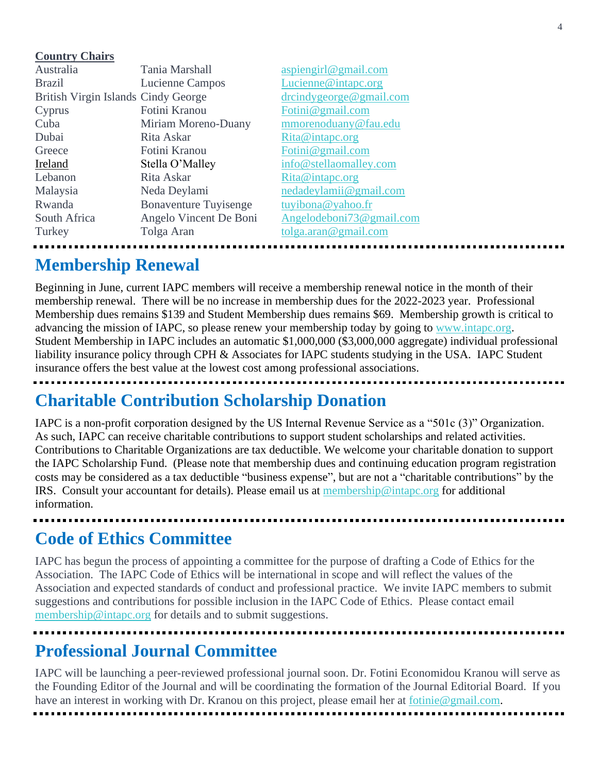#### **Country Chairs**

| Australia                           | Tania Marshall               | aspiengirl@gmail.com   |
|-------------------------------------|------------------------------|------------------------|
| <b>Brazil</b>                       | Lucienne Campos              | Lucienne@intapc.org    |
| British Virgin Islands Cindy George |                              | drcindygeorge@gmail.   |
| Cyprus                              | Fotini Kranou                | Fotini@gmail.com       |
| Cuba                                | Miriam Moreno-Duany          | mmorenoduany@fau.e     |
| Dubai                               | Rita Askar                   | Rita@intapc.org        |
| Greece                              | Fotini Kranou                | Fotini@gmail.com       |
| Ireland                             | Stella O'Malley              | info@stellaomalley.co  |
| Lebanon                             | Rita Askar                   | Rita@intapc.org        |
| Malaysia                            | Neda Deylami                 | nedadeylamii@gmail.c   |
| Rwanda                              | <b>Bonaventure Tuyisenge</b> | tuyibona@yahoo.fr      |
| South Africa                        | Angelo Vincent De Boni       | Angelodeboni $73@$ gma |
| Turkey                              | Tolga Aran                   | tolga.aran@gmail.com   |

@gmail.com y@fau.edu alley.com *P* gmail.com  $30$  gmail.com

# **Membership Renewal**

Beginning in June, current IAPC members will receive a membership renewal notice in the month of their membership renewal. There will be no increase in membership dues for the 2022-2023 year. Professional Membership dues remains \$139 and Student Membership dues remains \$69. Membership growth is critical to advancing the mission of IAPC, so please renew your membership today by going to [www.intapc.org.](http://www.intapc.org/) Student Membership in IAPC includes an automatic \$1,000,000 (\$3,000,000 aggregate) individual professional liability insurance policy through CPH & Associates for IAPC students studying in the USA. IAPC Student insurance offers the best value at the lowest cost among professional associations.

# **Charitable Contribution Scholarship Donation**

IAPC is a non-profit corporation designed by the US Internal Revenue Service as a "501c (3)" Organization. As such, IAPC can receive charitable contributions to support student scholarships and related activities. Contributions to Charitable Organizations are tax deductible. We welcome your charitable donation to support the IAPC Scholarship Fund. (Please note that membership dues and continuing education program registration costs may be considered as a tax deductible "business expense", but are not a "charitable contributions" by the IRS. Consult your accountant for details). Please email us at [membership@intapc.org](mailto:membership@intapc.org) for additional information.

# **Code of Ethics Committee**

IAPC has begun the process of appointing a committee for the purpose of drafting a Code of Ethics for the Association. The IAPC Code of Ethics will be international in scope and will reflect the values of the Association and expected standards of conduct and professional practice. We invite IAPC members to submit suggestions and contributions for possible inclusion in the IAPC Code of Ethics. Please contact email [membership@intapc.org](mailto:membership@intapc.org) for details and to submit suggestions.

# **Professional Journal Committee**

IAPC will be launching a peer-reviewed professional journal soon. Dr. Fotini Economidou Kranou will serve as the Founding Editor of the Journal and will be coordinating the formation of the Journal Editorial Board. If you have an interest in working with Dr. Kranou on this project, please email her at [fotinie@gmail.com.](mailto:fotinie@gmail.com)